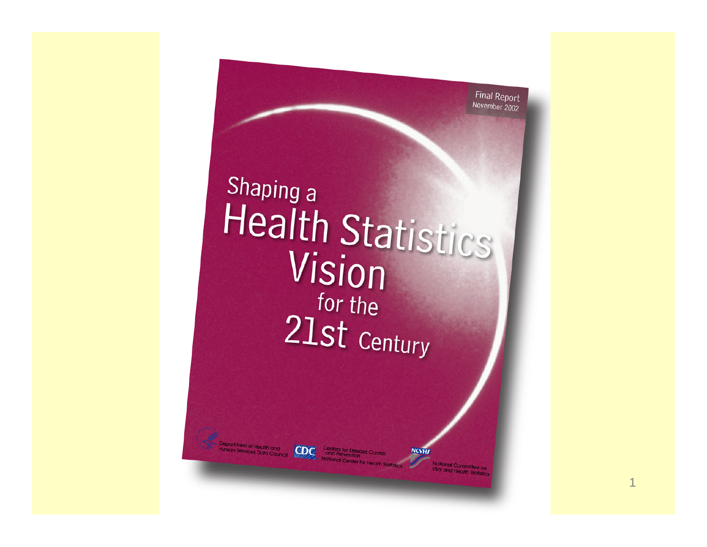Final Report November 2002

# Shaping a Health Statistics Vision  $_$  for the 21st Century

epartment of Health and

**Centers for Disease Contract Contract Contract Contract Contract Contract Contract Contract Contract Contract Contract Contract Contract Contract Contract Contract Contract Contract Contract Contract Contract Contract Con**  $CDC$ National Center for h

R. Gibson Parrish, M.D.

**NCVHJ** 

**National Committee on**<br>Vital and Hostinidee on ital and Health Statistic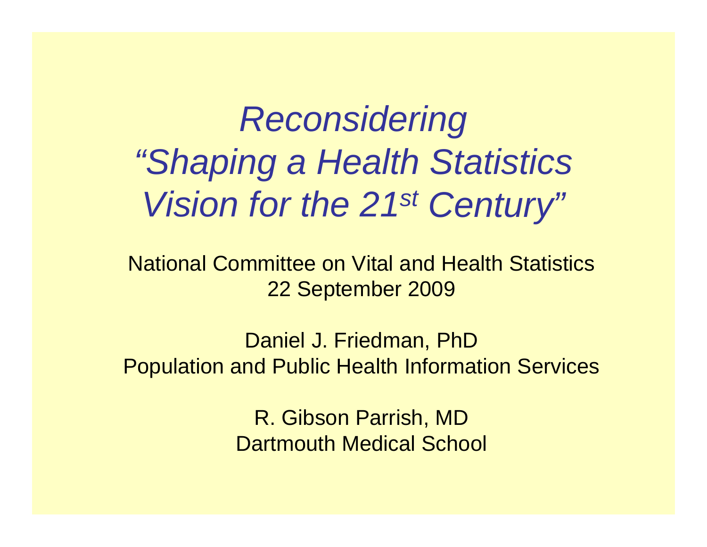# *Reconsidering "Shaping a Health Statistics Vision for the 21st Century"*

National Committee on Vital and Health Statistics22 September 2009

Daniel J. Friedman, PhD Population and Public Health Information Services

> R. Gibson Parrish, MD Dartmouth Medical School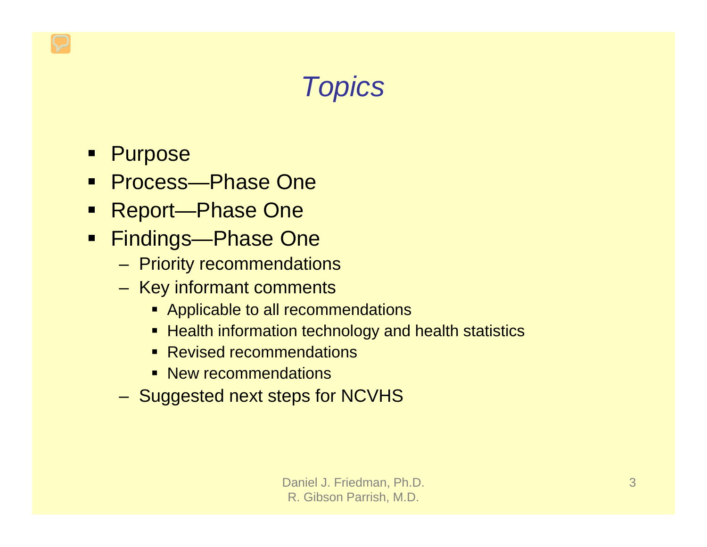### *Topics*

- $\blacksquare$ **Purpose**
- $\begin{array}{c} \hline \end{array}$ Process—Phase One
- Report—Phase One
- Findings—Phase One
	- Priority recommendations
	- $-$  Key informant comments
		- **Applicable to all recommendations**
		- Health information technology and health statistics
		- Revised recommendations
		- **New recommendations**
	- Suggested next steps for NCVHS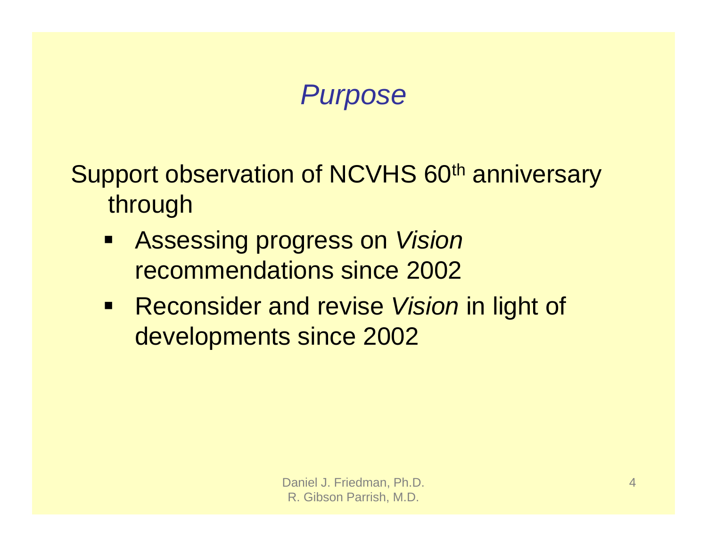#### *Purpose*

Support observation of NCVHS 60<sup>th</sup> anniversary through

- Assessing progress on *Vision* recommendations since 2002
- **Reconsider and revise Vision in light of** developments since 2002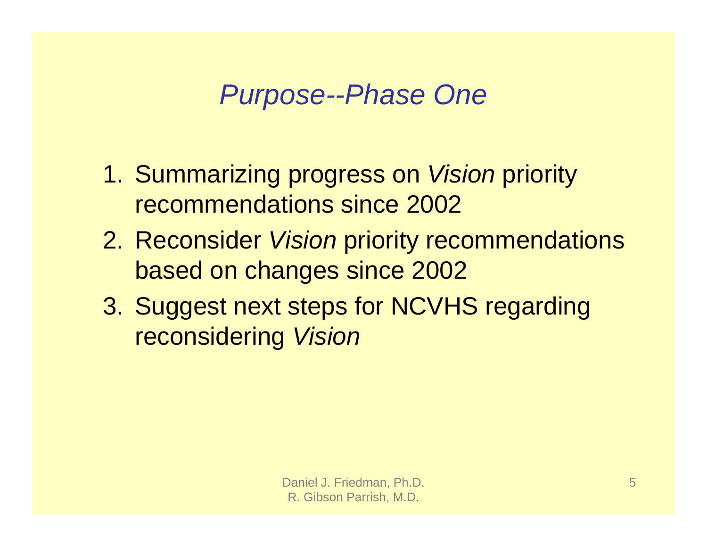*Purpose--Phase One*

- 1. Summarizing progress on *Vision* priority recommendations since 2002
- 2. Reconsider *Vision* priority recommendations based on changes since 2002
- 3. Suggest next steps for NCVHS regarding reconsidering *Vision*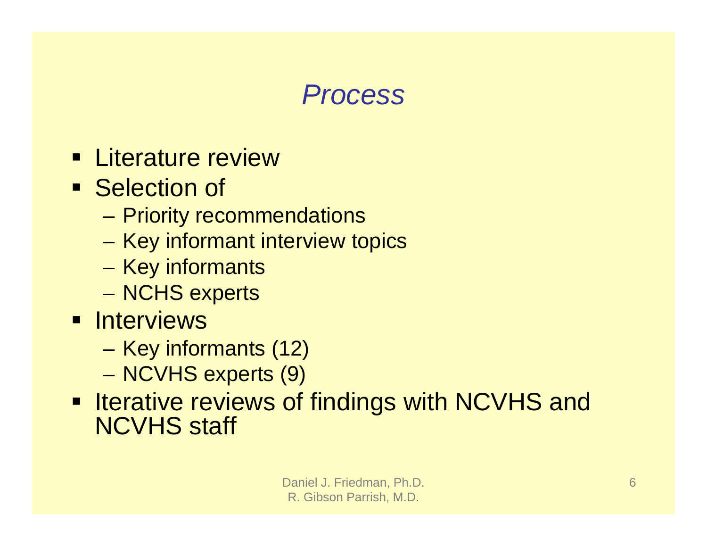#### *Process*

- **Eiterature review**
- **Selection of** 
	- Priority recommendations
	- Key informant interview topics
	- –– Key informants
	- NCHS experts
- **E** Interviews
	- Key informants (12)
	- –– NCVHS experts (9)
- **Interative reviews of findings with NCVHS and** NCVHS staff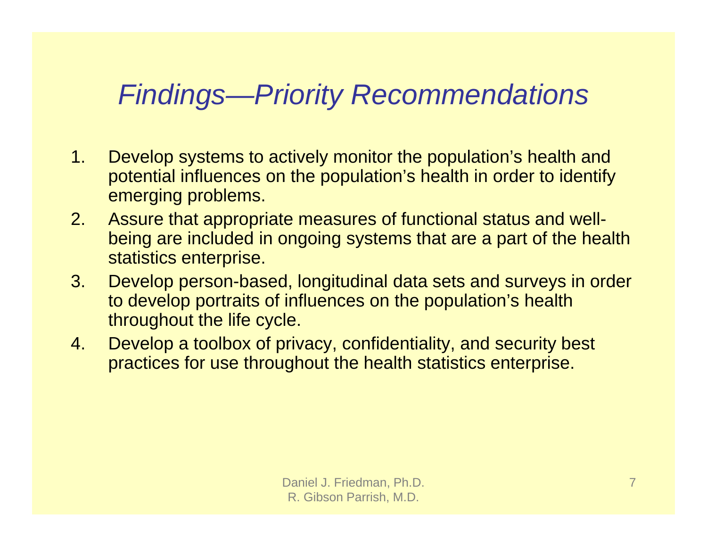#### *Findings—Priority Recommendations*

- 1. Develop systems to actively monitor the population's health and potential influences on the population's health in order to identify emerging problems.
- 2. Assure that appropriate measures of functional status and wellbeing are included in ongoing systems that are a part of the health statistics enterprise.
- 3. Develop person-based, longitudinal data sets and surveys in order to develop portraits of influences on the population's health throughout the life cycle.
- 4. Develop a toolbox of privacy, confidentiality, and security best practices for use throughout the health statistics enterprise.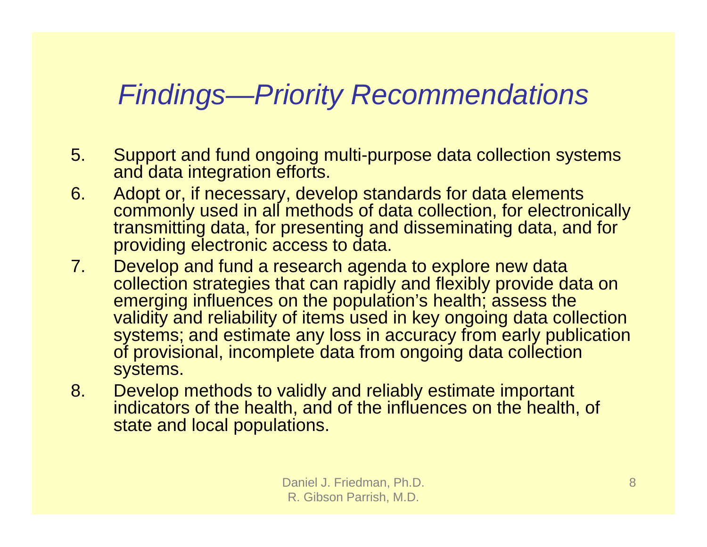#### *Findings—Priority Recommendations*

- 5. Support and fund ongoing multi-purpose data collection systems and data integration efforts.
- 6. Adopt or, if necessary, develop standards for data elements commonly used in all methods of data collection, for electronically transmitting data, for presenting and disseminating data, and for providing electronic access to data.
- 7. Develop and fund a research agenda to explore new data collection strategies that can rapidly and flexibly provide data on emerging influences on the population's health; assess the validity and reliability of items used in key ongoing data collection systems; and estimate any loss in accuracy from early publication of provisional, incomplete data from ongoing data collection systems.
- 8. Develop methods to validly and reliably estimate important indicators of the health, and of the influences on the health, of state and local populations.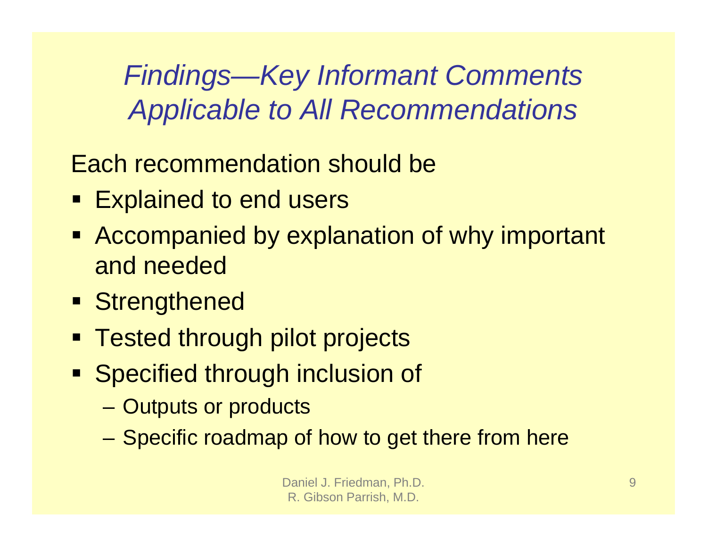#### *Findings—Key Informant Comments Applicable to All Recommendations*

Each recommendation should be

- Explained to end users
- **EXP** Accompanied by explanation of why important and needed
- **Strengthened**
- Tested through pilot projects
- **Specified through inclusion of** 
	- Outputs or products
	- Specific roadmap of how to get there from here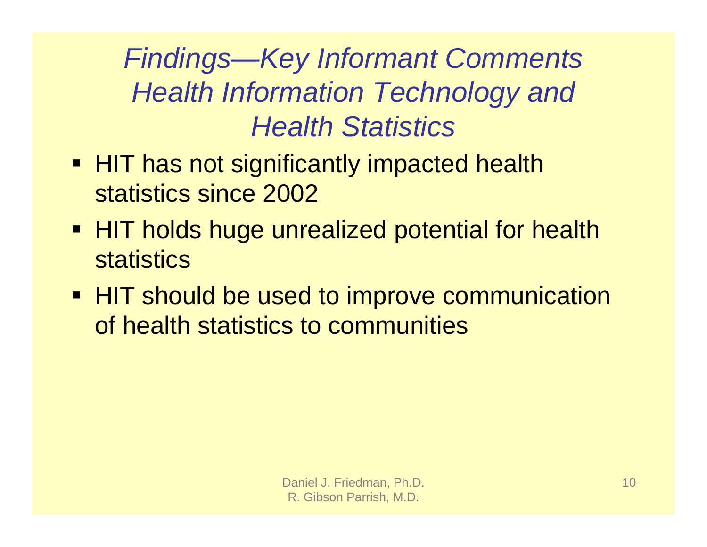*Findings—Key Informant Comments Health Information Technology and Health Statistics*

- HIT has not significantly impacted health statistics since 2002
- **HIT holds huge unrealized potential for health statistics**
- **HIT should be used to improve communication** of health statistics to communities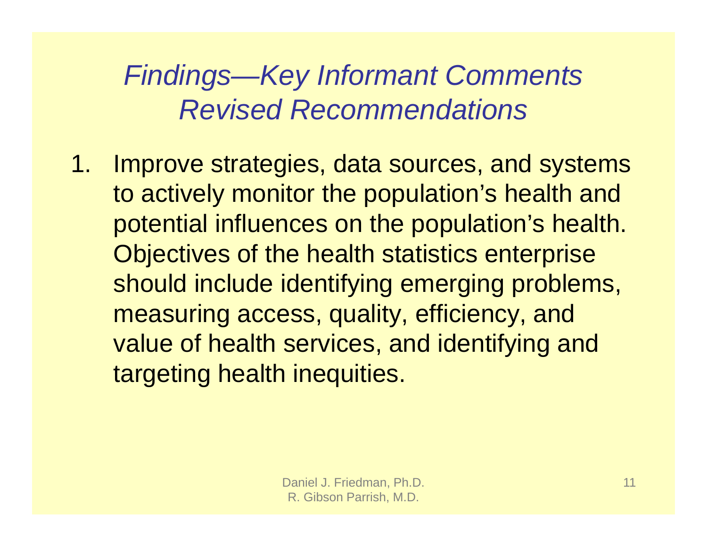1. Improve strategies, data sources, and systems to actively monitor the population's health and potential influences on the population's health. Objectives of the health statistics enterprise should include identifying emerging problems, measuring access, quality, efficiency, and value of health services, and identifying and targeting health inequities.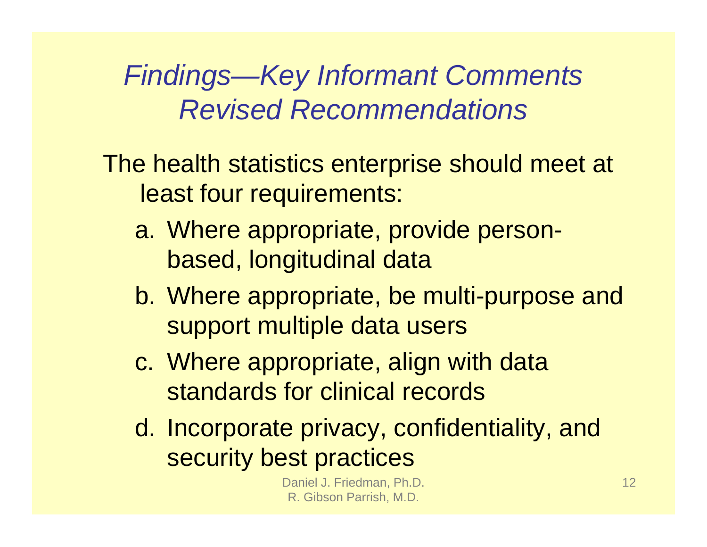- The health statistics enterprise should meet at least four requirements:
	- a. Where appropriate, provide personbased, longitudinal data
	- b. Where appropriate, be multi-purpose and support multiple data users
	- c. Where appropriate, align with data standards for clinical records
	- d. Incorporate privacy, confidentiality, and security best practices

Daniel J. Friedman, Ph.D. R. Gibson Parrish, M.D.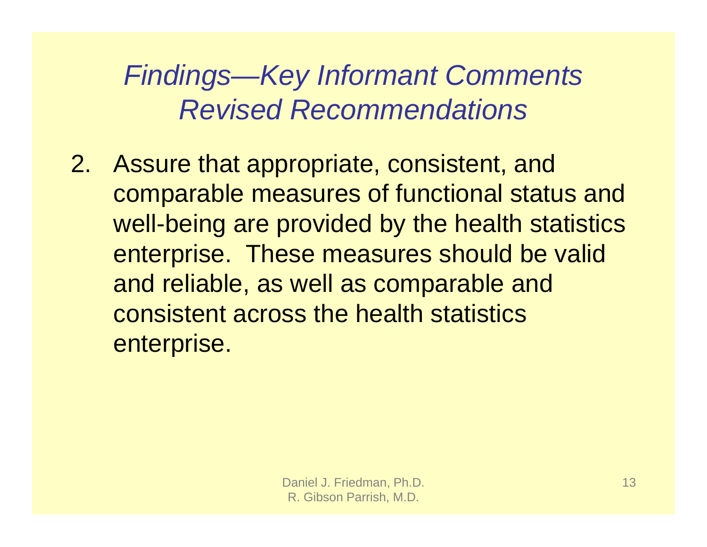2. Assure that appropriate, consistent, and comparable measures of functional status and well-being are provided by the health statistics enterprise. These measures should be valid and reliable, as well as comparable and consistent across the health statistics enterprise.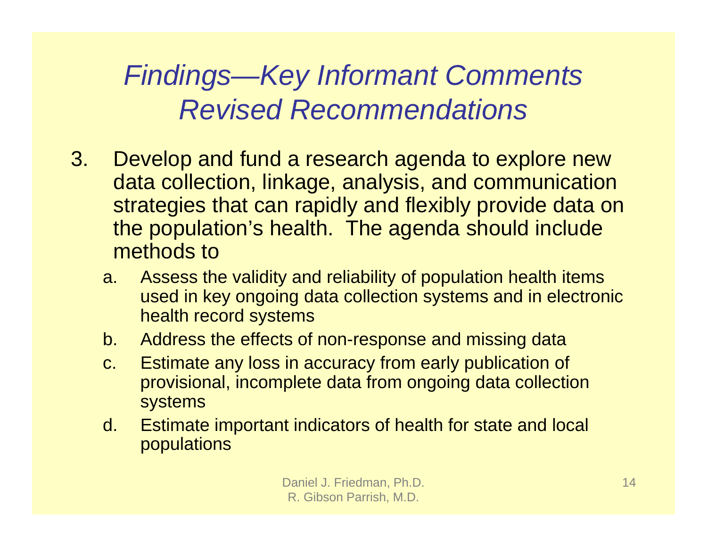- 3. Develop and fund a research agenda to explore new data collection, linkage, analysis, and communication strategies that can rapidly and flexibly provide data on the population's health. The agenda should include methods to
	- a. Assess the validity and reliability of population health items used in key ongoing data collection systems and in electronic health record systems
	- b. Address the effects of non-response and missing data
	- c. Estimate any loss in accuracy from early publication of provisional, incomplete data from ongoing data collection systems
	- d. Estimate important indicators of health for state and local populations

Daniel J. Friedman, Ph.D. R. Gibson Parrish, M.D.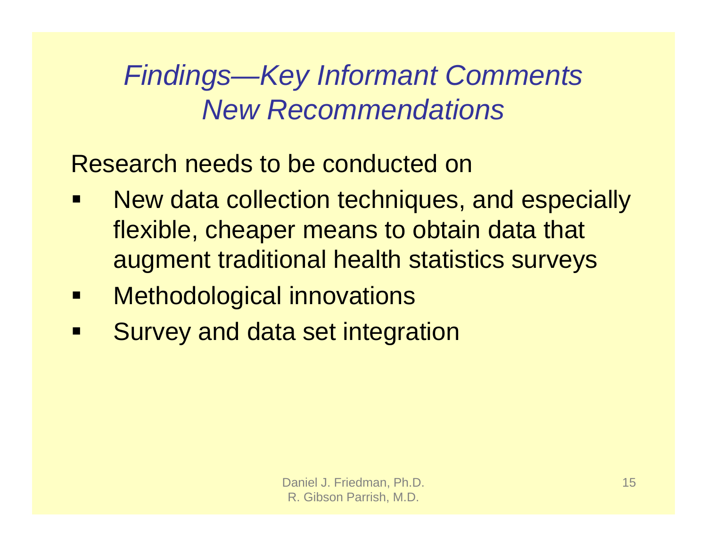Research needs to be conducted on

- $\blacksquare$  New data collection techniques, and especially flexible, cheaper means to obtain data that augment traditional health statistics surveys
- $\blacksquare$ Methodological innovations
- $\blacksquare$ Survey and data set integration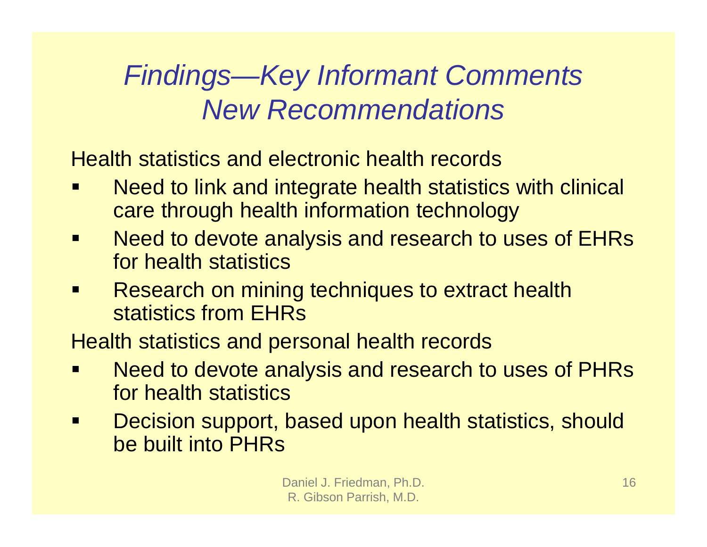Health statistics and electronic health records

- $\blacksquare$  Need to link and integrate health statistics with clinical care through health information technology
- $\blacksquare$  Need to devote analysis and research to uses of EHRs for health statistics
- $\blacksquare$  Research on mining techniques to extract health statistics from EHRs

Health statistics and personal health records

- $\blacksquare$  Need to devote analysis and research to uses of PHRs for health statistics
- $\blacksquare$  Decision support, based upon health statistics, should be built into PHRs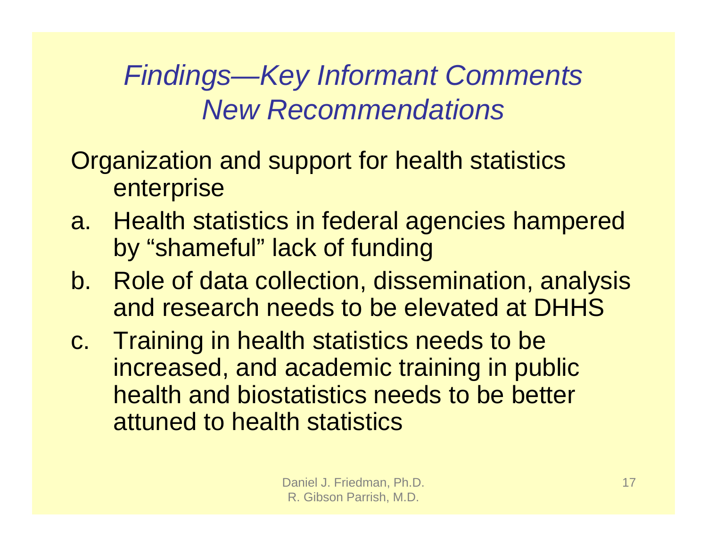- Organization and support for health statistics enterprise
- a. Health statistics in federal agencies hampered by "shameful" lack of funding
- b. Role of data collection, dissemination, analysis and research needs to be elevated at DHHS
- c. Training in health statistics needs to be increased, and academic training in public health and biostatistics needs to be better attuned to health statistics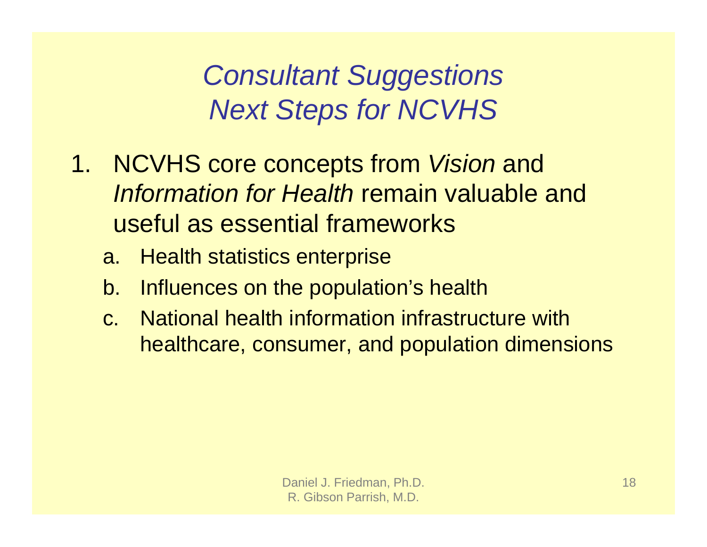- 1. NCVHS core concepts from *Vision* and *Information for Health* remain valuable and useful as essential frameworks
	- a. Health statistics enterprise
	- b. Influences on the population's health
	- c. National health information infrastructure with healthcare, consumer, and population dimensions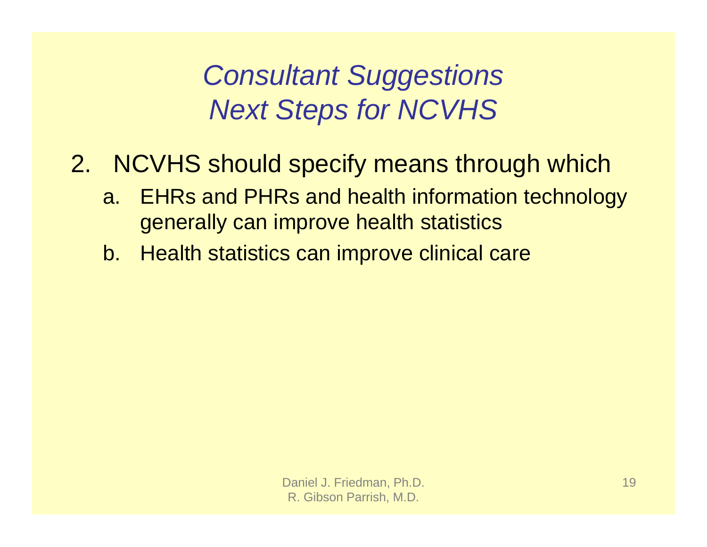- 2. NCVHS should specify means through which
	- a. EHRs and PHRs and health information technology generally can improve health statistics
	- b. Health statistics can improve clinical care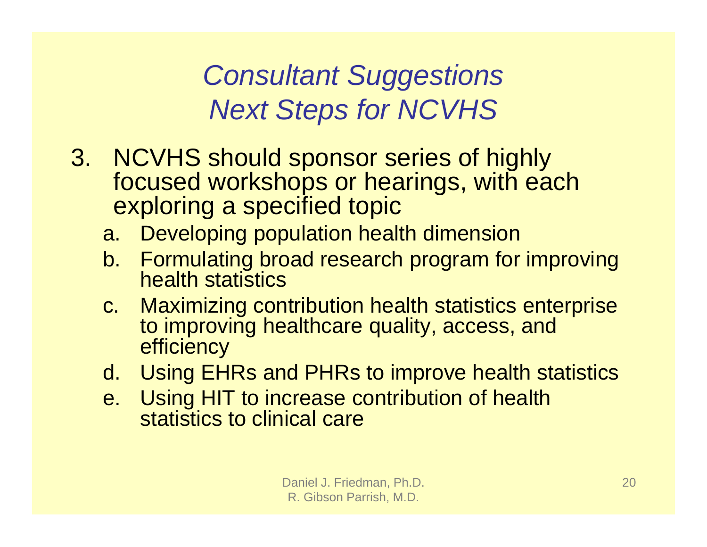- 3. NCVHS should sponsor series of highly focused workshops or hearings, with each exploring a specified topic
	- a. Developing population health dimension
	- b. Formulating broad research program for improving health statistics
	- c. Maximizing contribution health statistics enterprise to improving healthcare quality, access, and **efficiency**
	- d. Using EHRs and PHRs to improve health statistics
	- e. Using HIT to increase contribution of health statistics to clinical care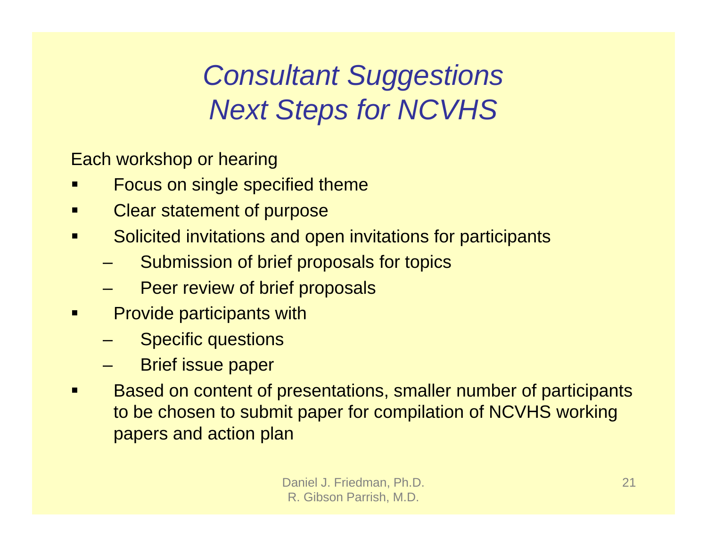Each workshop or hearing

- Ξ Focus on single specified theme
- $\blacksquare$ Clear statement of purpose
- $\blacksquare$  Solicited invitations and open invitations for participants
	- Submission of brief proposals for topics
	- Peer review of brief proposals
- $\blacksquare$  Provide participants with
	- Specific questions
	- Brief issue paper
- $\blacksquare$  Based on content of presentations, smaller number of participants to be chosen to submit paper for compilation of NCVHS working papers and action plan